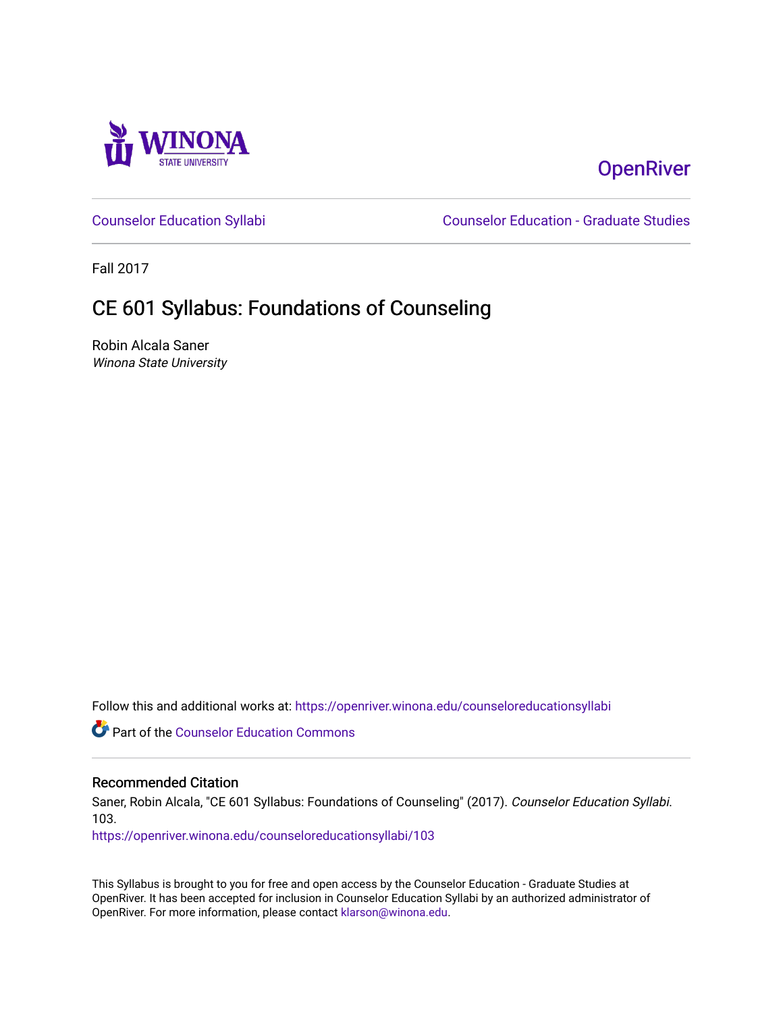

# **OpenRiver**

[Counselor Education Syllabi](https://openriver.winona.edu/counseloreducationsyllabi) [Counselor Education - Graduate Studies](https://openriver.winona.edu/counseloreducation) 

Fall 2017

# CE 601 Syllabus: Foundations of Counseling

Robin Alcala Saner Winona State University

Follow this and additional works at: [https://openriver.winona.edu/counseloreducationsyllabi](https://openriver.winona.edu/counseloreducationsyllabi?utm_source=openriver.winona.edu%2Fcounseloreducationsyllabi%2F103&utm_medium=PDF&utm_campaign=PDFCoverPages)

Part of the [Counselor Education Commons](http://network.bepress.com/hgg/discipline/1278?utm_source=openriver.winona.edu%2Fcounseloreducationsyllabi%2F103&utm_medium=PDF&utm_campaign=PDFCoverPages) 

#### Recommended Citation

Saner, Robin Alcala, "CE 601 Syllabus: Foundations of Counseling" (2017). Counselor Education Syllabi. 103.

[https://openriver.winona.edu/counseloreducationsyllabi/103](https://openriver.winona.edu/counseloreducationsyllabi/103?utm_source=openriver.winona.edu%2Fcounseloreducationsyllabi%2F103&utm_medium=PDF&utm_campaign=PDFCoverPages)

This Syllabus is brought to you for free and open access by the Counselor Education - Graduate Studies at OpenRiver. It has been accepted for inclusion in Counselor Education Syllabi by an authorized administrator of OpenRiver. For more information, please contact [klarson@winona.edu](mailto:klarson@winona.edu).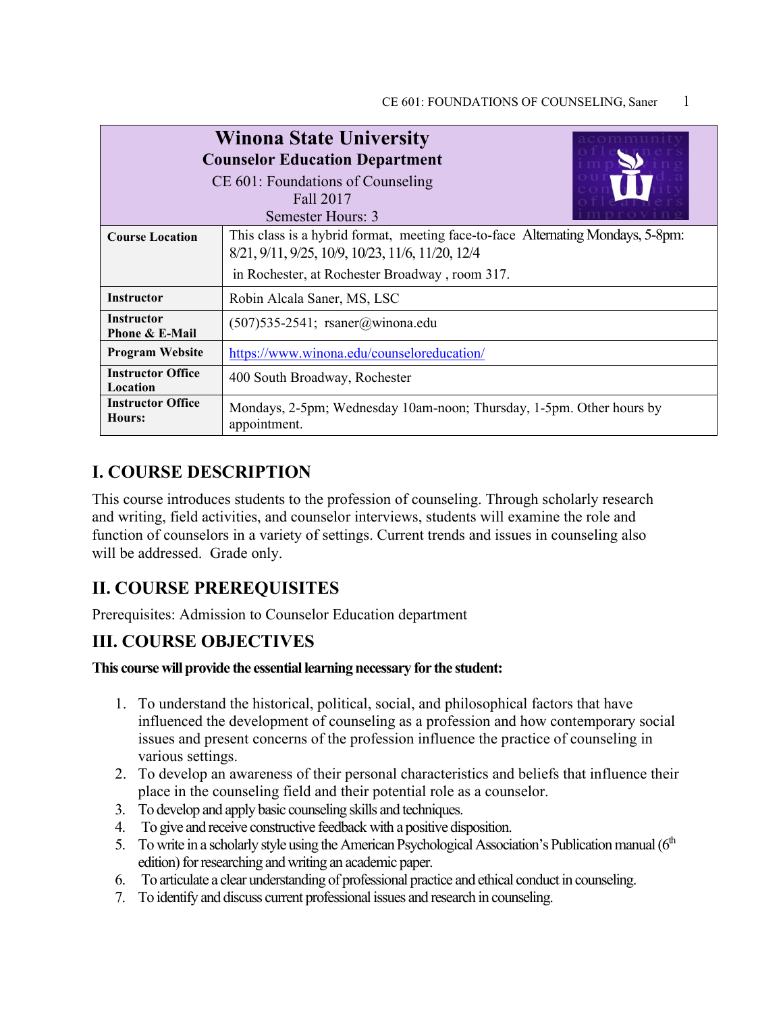|                                           | <b>Winona State University</b><br><b>Counselor Education Department</b><br>CE 601: Foundations of Counseling<br>Fall 2017<br>Semester Hours: 3                                        |
|-------------------------------------------|---------------------------------------------------------------------------------------------------------------------------------------------------------------------------------------|
| <b>Course Location</b>                    | This class is a hybrid format, meeting face-to-face Alternating Mondays, 5-8pm:<br>8/21, 9/11, 9/25, 10/9, 10/23, 11/6, 11/20, 12/4<br>in Rochester, at Rochester Broadway, room 317. |
| <b>Instructor</b>                         | Robin Alcala Saner, MS, LSC                                                                                                                                                           |
| <b>Instructor</b><br>Phone & E-Mail       | $(507)$ 535-2541; rsaner@winona.edu                                                                                                                                                   |
| <b>Program Website</b>                    | https://www.winona.edu/counseloreducation/                                                                                                                                            |
| <b>Instructor Office</b><br>Location      | 400 South Broadway, Rochester                                                                                                                                                         |
| <b>Instructor Office</b><br><b>Hours:</b> | Mondays, 2-5pm; Wednesday 10am-noon; Thursday, 1-5pm. Other hours by<br>appointment.                                                                                                  |

## **I. COURSE DESCRIPTION**

This course introduces students to the profession of counseling. Through scholarly research and writing, field activities, and counselor interviews, students will examine the role and function of counselors in a variety of settings. Current trends and issues in counseling also will be addressed. Grade only.

# **II. COURSE PREREQUISITES**

Prerequisites: Admission to Counselor Education department

## **III. COURSE OBJECTIVES**

#### **This course will provide the essential learning necessary for the student:**

- 1. To understand the historical, political, social, and philosophical factors that have influenced the development of counseling as a profession and how contemporary social issues and present concerns of the profession influence the practice of counseling in various settings.
- 2. To develop an awareness of their personal characteristics and beliefs that influence their place in the counseling field and their potential role as a counselor.
- 3. To develop and apply basic counseling skills and techniques.
- 4. To give and receive constructive feedback with a positive disposition.
- 5. To write in a scholarly style using the American Psychological Association's Publication manual ( $6<sup>th</sup>$ edition) for researching and writing an academic paper.
- 6. To articulate a clear understanding of professional practice and ethical conduct in counseling.
- 7. To identify and discuss current professional issues and research in counseling.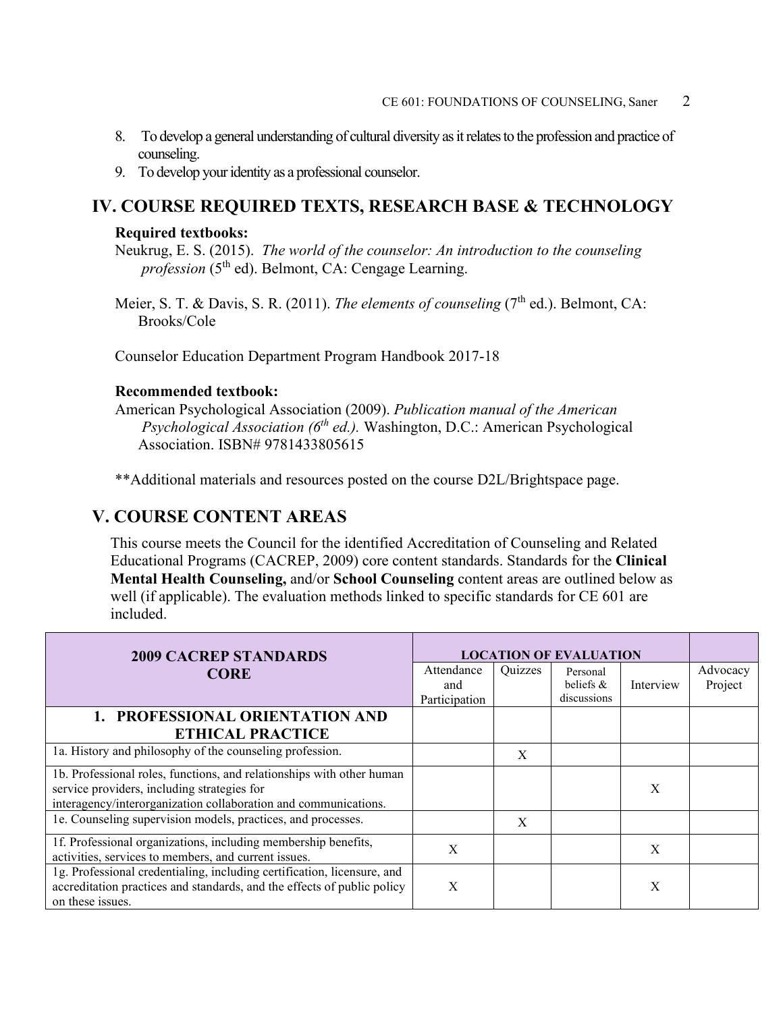- 8. To develop a general understanding of cultural diversity as it relates to the profession and practice of counseling.
- 9. To develop your identity as a professional counselor.

### **IV. COURSE REQUIRED TEXTS, RESEARCH BASE & TECHNOLOGY**

#### **Required textbooks:**

Neukrug, E. S. (2015). *The world of the counselor: An introduction to the counseling profession* (5<sup>th</sup> ed). Belmont, CA: Cengage Learning.

Meier, S. T. & Davis, S. R. (2011). *The elements of counseling* (7<sup>th</sup> ed.). Belmont, CA: Brooks/Cole

Counselor Education Department Program Handbook 2017-18

#### **Recommended textbook:**

American Psychological Association (2009). *Publication manual of the American Psychological Association (6th ed.).* Washington, D.C.: American Psychological Association. ISBN# 9781433805615

\*\*Additional materials and resources posted on the course D2L/Brightspace page.

#### **V. COURSE CONTENT AREAS**

This course meets the Council for the identified Accreditation of Counseling and Related Educational Programs (CACREP, 2009) core content standards. Standards for the **Clinical Mental Health Counseling,** and/or **School Counseling** content areas are outlined below as well (if applicable). The evaluation methods linked to specific standards for CE 601 are included.

| <b>2009 CACREP STANDARDS</b>                                                                                                                                           | <b>LOCATION OF EVALUATION</b> |         |              |           |          |
|------------------------------------------------------------------------------------------------------------------------------------------------------------------------|-------------------------------|---------|--------------|-----------|----------|
| <b>CORE</b>                                                                                                                                                            | Attendance                    | Quizzes | Personal     |           | Advocacy |
|                                                                                                                                                                        | and                           |         | beliefs $\&$ | Interview | Project  |
|                                                                                                                                                                        | Participation                 |         | discussions  |           |          |
| 1. PROFESSIONAL ORIENTATION AND                                                                                                                                        |                               |         |              |           |          |
| <b>ETHICAL PRACTICE</b>                                                                                                                                                |                               |         |              |           |          |
| 1a. History and philosophy of the counseling profession.                                                                                                               |                               | X       |              |           |          |
| 1b. Professional roles, functions, and relationships with other human                                                                                                  |                               |         |              |           |          |
| service providers, including strategies for                                                                                                                            |                               |         |              | X         |          |
| interagency/interorganization collaboration and communications.                                                                                                        |                               |         |              |           |          |
| 1e. Counseling supervision models, practices, and processes.                                                                                                           |                               | X       |              |           |          |
| 1f. Professional organizations, including membership benefits,<br>activities, services to members, and current issues.                                                 | X                             |         |              | X         |          |
| 1g. Professional credentialing, including certification, licensure, and<br>accreditation practices and standards, and the effects of public policy<br>on these issues. | X                             |         |              | X         |          |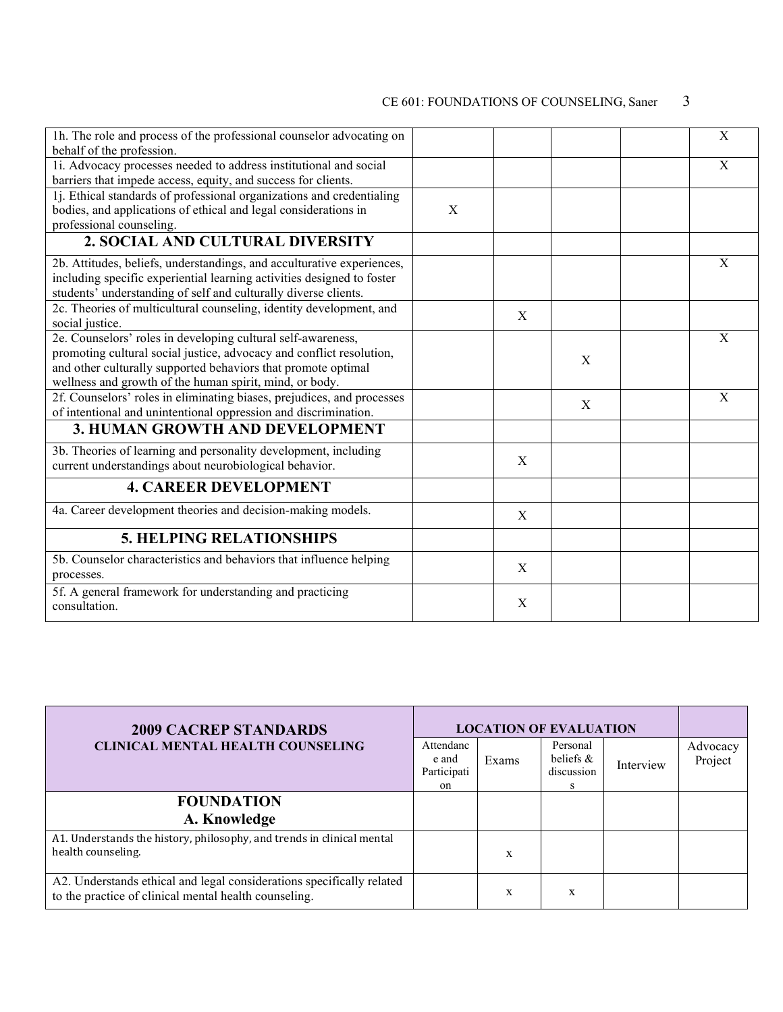| 1h. The role and process of the professional counselor advocating on<br>behalf of the profession.                                                                                                                                                                |   |   |   | X |
|------------------------------------------------------------------------------------------------------------------------------------------------------------------------------------------------------------------------------------------------------------------|---|---|---|---|
| 1i. Advocacy processes needed to address institutional and social<br>barriers that impede access, equity, and success for clients.                                                                                                                               |   |   |   | X |
| 1j. Ethical standards of professional organizations and credentialing<br>bodies, and applications of ethical and legal considerations in<br>professional counseling.                                                                                             | X |   |   |   |
| 2. SOCIAL AND CULTURAL DIVERSITY                                                                                                                                                                                                                                 |   |   |   |   |
| 2b. Attitudes, beliefs, understandings, and acculturative experiences,<br>including specific experiential learning activities designed to foster<br>students' understanding of self and culturally diverse clients.                                              |   |   |   | X |
| 2c. Theories of multicultural counseling, identity development, and<br>social justice.                                                                                                                                                                           |   | X |   |   |
| 2e. Counselors' roles in developing cultural self-awareness,<br>promoting cultural social justice, advocacy and conflict resolution,<br>and other culturally supported behaviors that promote optimal<br>wellness and growth of the human spirit, mind, or body. |   |   | X | X |
| 2f. Counselors' roles in eliminating biases, prejudices, and processes<br>of intentional and unintentional oppression and discrimination.                                                                                                                        |   |   | X | X |
| 3. HUMAN GROWTH AND DEVELOPMENT                                                                                                                                                                                                                                  |   |   |   |   |
| 3b. Theories of learning and personality development, including<br>current understandings about neurobiological behavior.                                                                                                                                        |   | X |   |   |
| <b>4. CAREER DEVELOPMENT</b>                                                                                                                                                                                                                                     |   |   |   |   |
| 4a. Career development theories and decision-making models.                                                                                                                                                                                                      |   | X |   |   |
| <b>5. HELPING RELATIONSHIPS</b>                                                                                                                                                                                                                                  |   |   |   |   |
| 5b. Counselor characteristics and behaviors that influence helping<br>processes.                                                                                                                                                                                 |   | X |   |   |
| 5f. A general framework for understanding and practicing<br>consultation.                                                                                                                                                                                        |   | X |   |   |

| <b>2009 CACREP STANDARDS</b><br><b>CLINICAL MENTAL HEALTH COUNSELING</b><br>Attendanc<br>Participati                           |  | <b>LOCATION OF EVALUATION</b> |                                             |           |                     |
|--------------------------------------------------------------------------------------------------------------------------------|--|-------------------------------|---------------------------------------------|-----------|---------------------|
|                                                                                                                                |  | Exams                         | Personal<br>beliefs $\&$<br>discussion<br>S | Interview | Advocacy<br>Project |
| <b>FOUNDATION</b>                                                                                                              |  |                               |                                             |           |                     |
| A. Knowledge                                                                                                                   |  |                               |                                             |           |                     |
| A1. Understands the history, philosophy, and trends in clinical mental<br>health counseling.                                   |  | X                             |                                             |           |                     |
| A2. Understands ethical and legal considerations specifically related<br>to the practice of clinical mental health counseling. |  | X                             | X                                           |           |                     |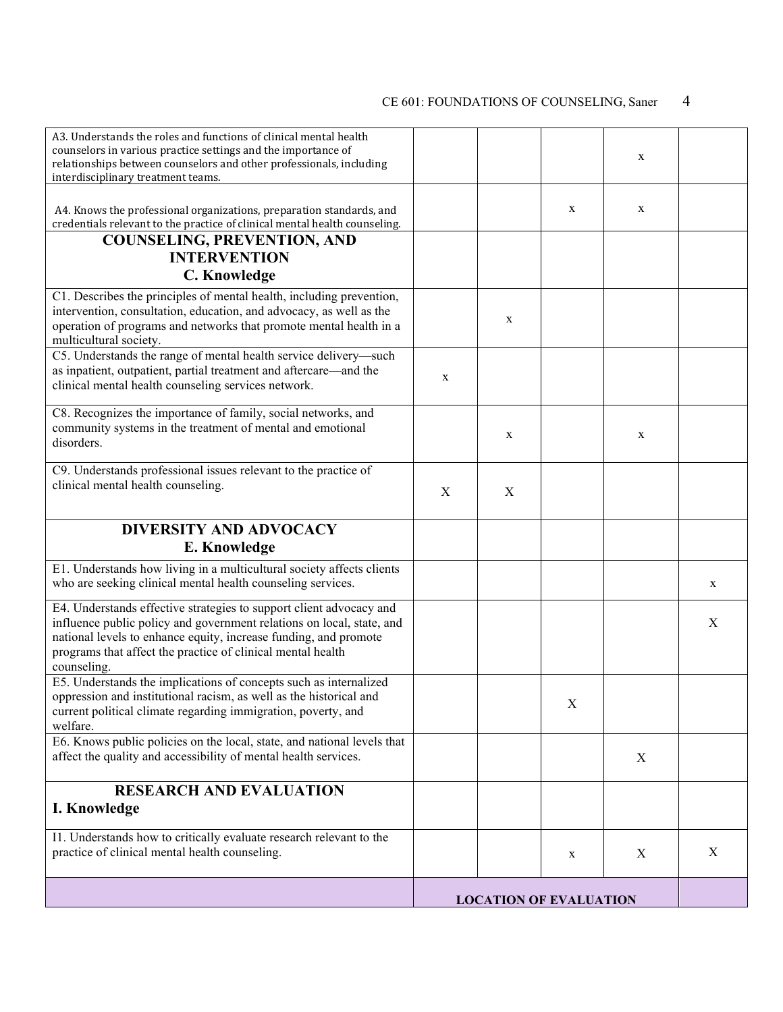| A3. Understands the roles and functions of clinical mental health<br>counselors in various practice settings and the importance of<br>relationships between counselors and other professionals, including<br>interdisciplinary treatment teams.                                                |   |             |                               | X |   |
|------------------------------------------------------------------------------------------------------------------------------------------------------------------------------------------------------------------------------------------------------------------------------------------------|---|-------------|-------------------------------|---|---|
| A4. Knows the professional organizations, preparation standards, and<br>credentials relevant to the practice of clinical mental health counseling.                                                                                                                                             |   |             | X                             | X |   |
| <b>COUNSELING, PREVENTION, AND</b><br><b>INTERVENTION</b>                                                                                                                                                                                                                                      |   |             |                               |   |   |
| C. Knowledge                                                                                                                                                                                                                                                                                   |   |             |                               |   |   |
| C1. Describes the principles of mental health, including prevention,<br>intervention, consultation, education, and advocacy, as well as the<br>operation of programs and networks that promote mental health in a<br>multicultural society.                                                    |   | $\mathbf X$ |                               |   |   |
| C5. Understands the range of mental health service delivery-such<br>as inpatient, outpatient, partial treatment and aftercare—and the<br>clinical mental health counseling services network.                                                                                                   | X |             |                               |   |   |
| C8. Recognizes the importance of family, social networks, and<br>community systems in the treatment of mental and emotional<br>disorders.                                                                                                                                                      |   | X           |                               | X |   |
| C9. Understands professional issues relevant to the practice of<br>clinical mental health counseling.                                                                                                                                                                                          | X | $\mathbf X$ |                               |   |   |
| <b>DIVERSITY AND ADVOCACY</b>                                                                                                                                                                                                                                                                  |   |             |                               |   |   |
| E. Knowledge                                                                                                                                                                                                                                                                                   |   |             |                               |   |   |
| E1. Understands how living in a multicultural society affects clients<br>who are seeking clinical mental health counseling services.                                                                                                                                                           |   |             |                               |   | X |
| E4. Understands effective strategies to support client advocacy and<br>influence public policy and government relations on local, state, and<br>national levels to enhance equity, increase funding, and promote<br>programs that affect the practice of clinical mental health<br>counseling. |   |             |                               |   | X |
| E5. Understands the implications of concepts such as internalized<br>oppression and institutional racism, as well as the historical and<br>current political climate regarding immigration, poverty, and<br>welfare.                                                                           |   |             | Χ                             |   |   |
| E6. Knows public policies on the local, state, and national levels that<br>affect the quality and accessibility of mental health services.                                                                                                                                                     |   |             |                               | X |   |
| <b>RESEARCH AND EVALUATION</b><br>I. Knowledge                                                                                                                                                                                                                                                 |   |             |                               |   |   |
| I1. Understands how to critically evaluate research relevant to the<br>practice of clinical mental health counseling.                                                                                                                                                                          |   |             | X                             | X | X |
|                                                                                                                                                                                                                                                                                                |   |             | <b>LOCATION OF EVALUATION</b> |   |   |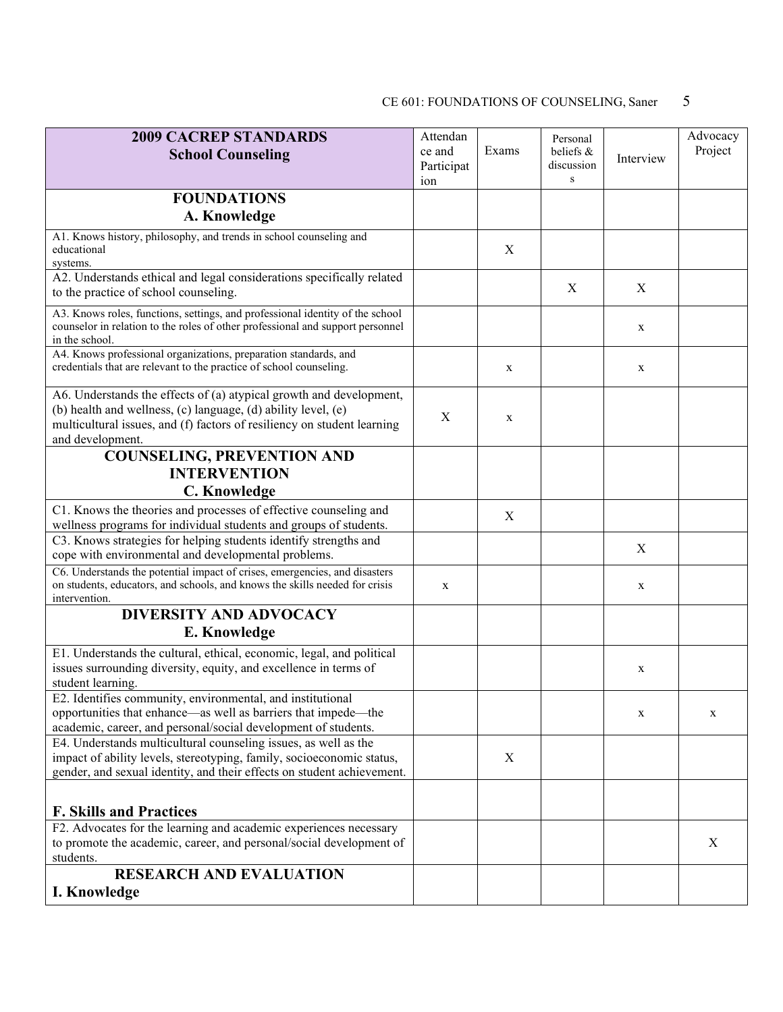| <b>2009 CACREP STANDARDS</b><br>Attendan<br>ce and<br><b>School Counseling</b><br>Participat<br>ion                                                                                                                                 |   | Exams       | Personal<br>beliefs &<br>discussion<br>S | Interview | Advocacy<br>Project |
|-------------------------------------------------------------------------------------------------------------------------------------------------------------------------------------------------------------------------------------|---|-------------|------------------------------------------|-----------|---------------------|
| <b>FOUNDATIONS</b><br>A. Knowledge                                                                                                                                                                                                  |   |             |                                          |           |                     |
| A1. Knows history, philosophy, and trends in school counseling and<br>educational<br>systems.                                                                                                                                       |   | $\mathbf X$ |                                          |           |                     |
| A2. Understands ethical and legal considerations specifically related<br>to the practice of school counseling.                                                                                                                      |   |             | X                                        | X         |                     |
| A3. Knows roles, functions, settings, and professional identity of the school<br>counselor in relation to the roles of other professional and support personnel<br>in the school.                                                   |   |             |                                          | X         |                     |
| A4. Knows professional organizations, preparation standards, and<br>credentials that are relevant to the practice of school counseling.                                                                                             |   | X           |                                          | X         |                     |
| A6. Understands the effects of (a) atypical growth and development,<br>(b) health and wellness, (c) language, (d) ability level, (e)<br>multicultural issues, and (f) factors of resiliency on student learning<br>and development. | X | $\mathbf X$ |                                          |           |                     |
| <b>COUNSELING, PREVENTION AND</b><br><b>INTERVENTION</b><br>C. Knowledge                                                                                                                                                            |   |             |                                          |           |                     |
| C1. Knows the theories and processes of effective counseling and<br>wellness programs for individual students and groups of students.                                                                                               |   | X           |                                          |           |                     |
| C3. Knows strategies for helping students identify strengths and<br>cope with environmental and developmental problems.                                                                                                             |   |             |                                          | X         |                     |
| C6. Understands the potential impact of crises, emergencies, and disasters<br>on students, educators, and schools, and knows the skills needed for crisis<br>intervention.                                                          | X |             |                                          | X         |                     |
| <b>DIVERSITY AND ADVOCACY</b><br>E. Knowledge                                                                                                                                                                                       |   |             |                                          |           |                     |
| E1. Understands the cultural, ethical, economic, legal, and political<br>issues surrounding diversity, equity, and excellence in terms of<br>student learning.                                                                      |   |             |                                          | X         |                     |
| E2. Identifies community, environmental, and institutional<br>opportunities that enhance—as well as barriers that impede—the<br>academic, career, and personal/social development of students.                                      |   |             |                                          | X         | X                   |
| E4. Understands multicultural counseling issues, as well as the<br>impact of ability levels, stereotyping, family, socioeconomic status,<br>gender, and sexual identity, and their effects on student achievement.                  |   | X           |                                          |           |                     |
| <b>F. Skills and Practices</b>                                                                                                                                                                                                      |   |             |                                          |           |                     |
| F2. Advocates for the learning and academic experiences necessary<br>to promote the academic, career, and personal/social development of<br>students.                                                                               |   |             |                                          |           | X                   |
| <b>RESEARCH AND EVALUATION</b><br>I. Knowledge                                                                                                                                                                                      |   |             |                                          |           |                     |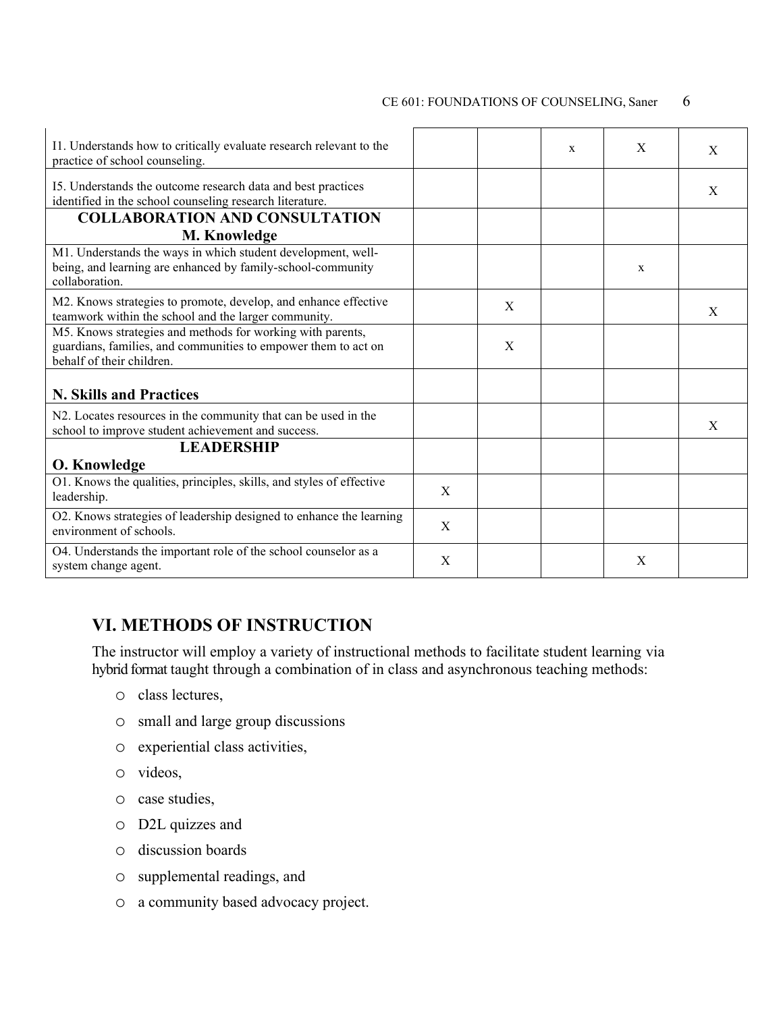| I1. Understands how to critically evaluate research relevant to the<br>practice of school counseling.                                                     |   |   | X | X            | X |
|-----------------------------------------------------------------------------------------------------------------------------------------------------------|---|---|---|--------------|---|
| I5. Understands the outcome research data and best practices<br>identified in the school counseling research literature.                                  |   |   |   |              | X |
| <b>COLLABORATION AND CONSULTATION</b><br><b>M. Knowledge</b>                                                                                              |   |   |   |              |   |
| M1. Understands the ways in which student development, well-<br>being, and learning are enhanced by family-school-community<br>collaboration.             |   |   |   | $\mathbf{x}$ |   |
| M2. Knows strategies to promote, develop, and enhance effective<br>teamwork within the school and the larger community.                                   |   | X |   |              | X |
| M5. Knows strategies and methods for working with parents,<br>guardians, families, and communities to empower them to act on<br>behalf of their children. |   | X |   |              |   |
| <b>N. Skills and Practices</b>                                                                                                                            |   |   |   |              |   |
| N2. Locates resources in the community that can be used in the<br>school to improve student achievement and success.                                      |   |   |   |              | X |
| <b>LEADERSHIP</b><br><b>O. Knowledge</b>                                                                                                                  |   |   |   |              |   |
| O1. Knows the qualities, principles, skills, and styles of effective<br>leadership.                                                                       | X |   |   |              |   |
| O2. Knows strategies of leadership designed to enhance the learning<br>environment of schools.                                                            | X |   |   |              |   |
| O4. Understands the important role of the school counselor as a<br>system change agent.                                                                   | X |   |   | X            |   |

## **VI. METHODS OF INSTRUCTION**

The instructor will employ a variety of instructional methods to facilitate student learning via hybrid format taught through a combination of in class and asynchronous teaching methods:

- o class lectures,
- o small and large group discussions
- o experiential class activities,
- o videos,
- o case studies,
- o D2L quizzes and
- o discussion boards
- o supplemental readings, and
- o a community based advocacy project.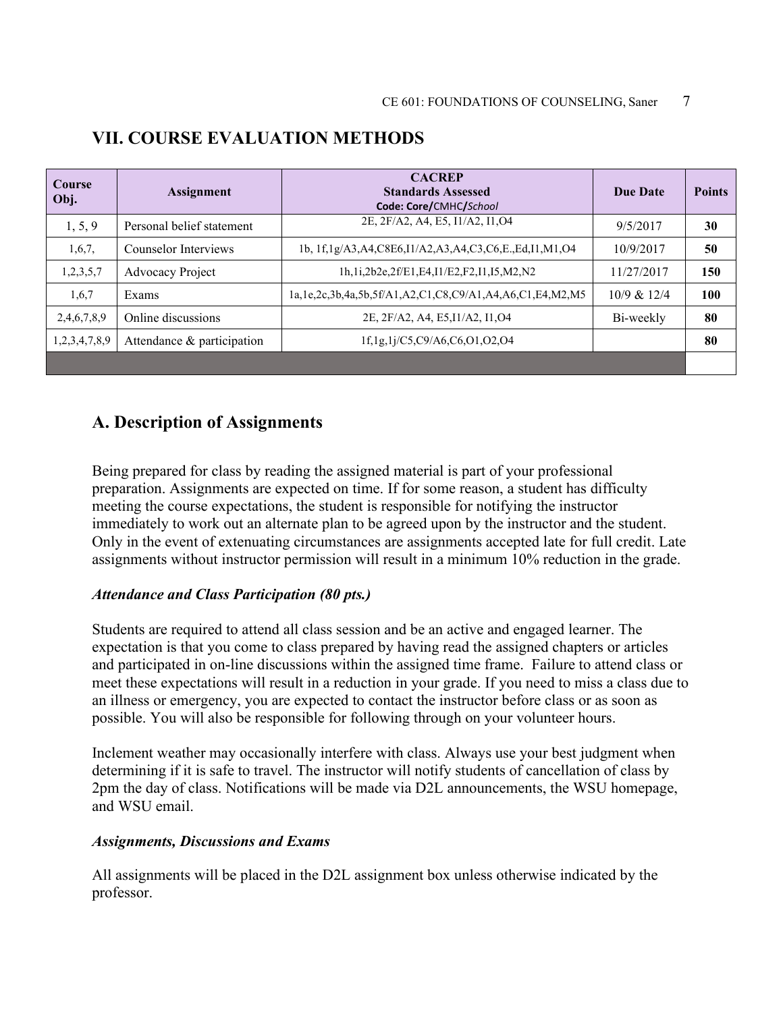| <b>Course</b><br>Obj. | <b>Assignment</b>          | <b>CACREP</b><br><b>Standards Assessed</b><br>Code: Core/CMHC/School     | Due Date    | <b>Points</b> |
|-----------------------|----------------------------|--------------------------------------------------------------------------|-------------|---------------|
| 1, 5, 9               | Personal belief statement  | 2E, 2F/A2, A4, E5, I1/A2, I1, O4                                         | 9/5/2017    | 30            |
| 1,6,7,                | Counselor Interviews       | 1b, 1f,1g/A3,A4,C8E6,I1/A2,A3,A4,C3,C6,E.,Ed,I1,M1,O4                    | 10/9/2017   | 50            |
| 1,2,3,5,7             | <b>Advocacy Project</b>    | 1h,1i,2b2e,2f/E1,E4,I1/E2,F2,I1,I5,M2,N2                                 | 11/27/2017  | 150           |
| 1,6,7                 | Exams                      | 1a, 1e, 2c, 3b, 4a, 5b, 5f/A1, A2, C1, C8, C9/A1, A4, A6, C1, E4, M2, M5 | 10/9 & 12/4 | 100           |
| 2,4,6,7,8,9           | Online discussions         | 2E, 2F/A2, A4, E5, I1/A2, I1, O4                                         | Bi-weekly   | 80            |
| 1,2,3,4,7,8,9         | Attendance & participation | 1f,1g,1j/C5,C9/A6,C6,O1,O2,O4                                            |             | 80            |
|                       |                            |                                                                          |             |               |

### **VII. COURSE EVALUATION METHODS**

### **A. Description of Assignments**

Being prepared for class by reading the assigned material is part of your professional preparation. Assignments are expected on time. If for some reason, a student has difficulty meeting the course expectations, the student is responsible for notifying the instructor immediately to work out an alternate plan to be agreed upon by the instructor and the student. Only in the event of extenuating circumstances are assignments accepted late for full credit. Late assignments without instructor permission will result in a minimum 10% reduction in the grade.

#### *Attendance and Class Participation (80 pts.)*

Students are required to attend all class session and be an active and engaged learner. The expectation is that you come to class prepared by having read the assigned chapters or articles and participated in on-line discussions within the assigned time frame. Failure to attend class or meet these expectations will result in a reduction in your grade. If you need to miss a class due to an illness or emergency, you are expected to contact the instructor before class or as soon as possible. You will also be responsible for following through on your volunteer hours.

Inclement weather may occasionally interfere with class. Always use your best judgment when determining if it is safe to travel. The instructor will notify students of cancellation of class by 2pm the day of class. Notifications will be made via D2L announcements, the WSU homepage, and WSU email.

#### *Assignments, Discussions and Exams*

All assignments will be placed in the D2L assignment box unless otherwise indicated by the professor.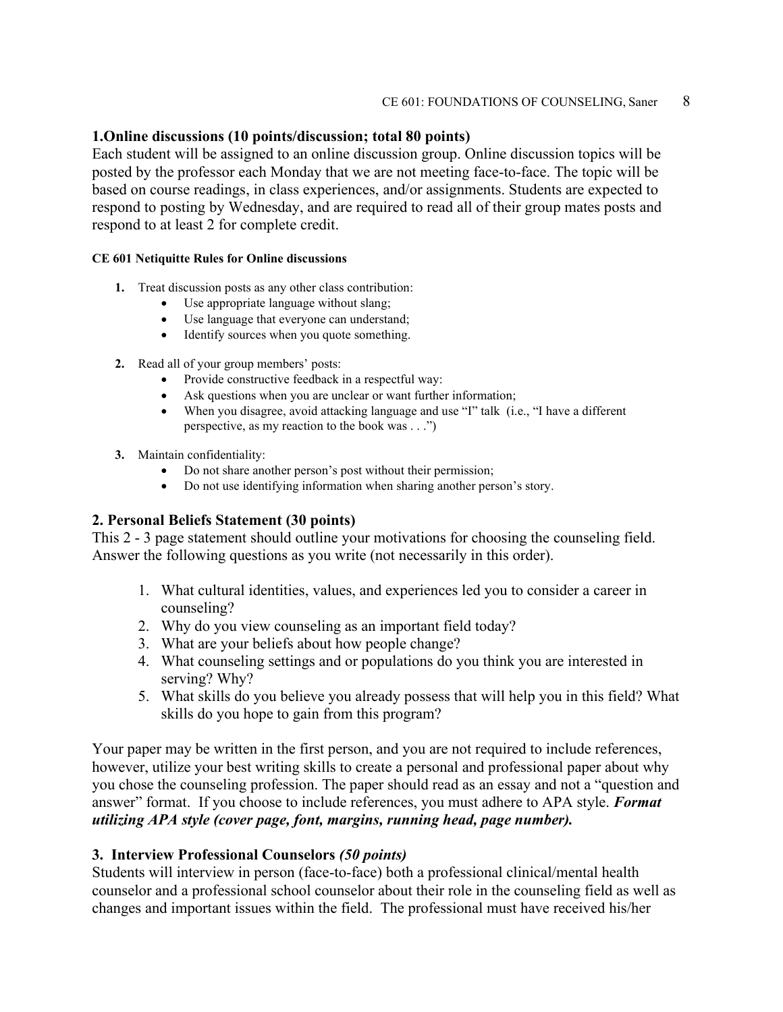#### **1.Online discussions (10 points/discussion; total 80 points)**

Each student will be assigned to an online discussion group. Online discussion topics will be posted by the professor each Monday that we are not meeting face-to-face. The topic will be based on course readings, in class experiences, and/or assignments. Students are expected to respond to posting by Wednesday, and are required to read all of their group mates posts and respond to at least 2 for complete credit.

#### **CE 601 Netiquitte Rules for Online discussions**

- **1.** Treat discussion posts as any other class contribution:
	- Use appropriate language without slang;
	- Use language that everyone can understand;
	- Identify sources when you quote something.
- **2.** Read all of your group members' posts:
	- Provide constructive feedback in a respectful way:
	- Ask questions when you are unclear or want further information;
	- When you disagree, avoid attacking language and use "I" talk (i.e., "I have a different perspective, as my reaction to the book was . . .")
- **3.** Maintain confidentiality:
	- Do not share another person's post without their permission;
	- Do not use identifying information when sharing another person's story.

#### **2. Personal Beliefs Statement (30 points)**

This 2 - 3 page statement should outline your motivations for choosing the counseling field. Answer the following questions as you write (not necessarily in this order).

- 1. What cultural identities, values, and experiences led you to consider a career in counseling?
- 2. Why do you view counseling as an important field today?
- 3. What are your beliefs about how people change?
- 4. What counseling settings and or populations do you think you are interested in serving? Why?
- 5. What skills do you believe you already possess that will help you in this field? What skills do you hope to gain from this program?

Your paper may be written in the first person, and you are not required to include references, however, utilize your best writing skills to create a personal and professional paper about why you chose the counseling profession. The paper should read as an essay and not a "question and answer" format. If you choose to include references, you must adhere to APA style. *Format utilizing APA style (cover page, font, margins, running head, page number).*

#### **3. Interview Professional Counselors** *(50 points)*

Students will interview in person (face-to-face) both a professional clinical/mental health counselor and a professional school counselor about their role in the counseling field as well as changes and important issues within the field. The professional must have received his/her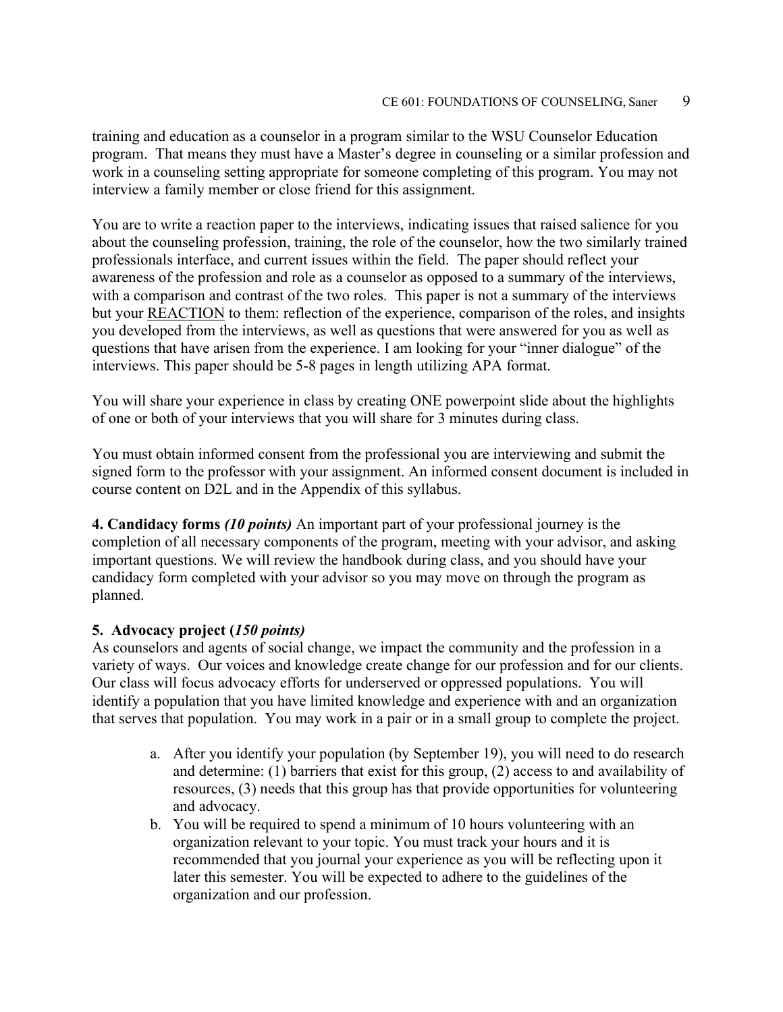training and education as a counselor in a program similar to the WSU Counselor Education program. That means they must have a Master's degree in counseling or a similar profession and work in a counseling setting appropriate for someone completing of this program. You may not interview a family member or close friend for this assignment.

You are to write a reaction paper to the interviews, indicating issues that raised salience for you about the counseling profession, training, the role of the counselor, how the two similarly trained professionals interface, and current issues within the field. The paper should reflect your awareness of the profession and role as a counselor as opposed to a summary of the interviews, with a comparison and contrast of the two roles. This paper is not a summary of the interviews but your REACTION to them: reflection of the experience, comparison of the roles, and insights you developed from the interviews, as well as questions that were answered for you as well as questions that have arisen from the experience. I am looking for your "inner dialogue" of the interviews. This paper should be 5-8 pages in length utilizing APA format.

You will share your experience in class by creating ONE powerpoint slide about the highlights of one or both of your interviews that you will share for 3 minutes during class.

You must obtain informed consent from the professional you are interviewing and submit the signed form to the professor with your assignment. An informed consent document is included in course content on D2L and in the Appendix of this syllabus.

**4. Candidacy forms** *(10 points)* An important part of your professional journey is the completion of all necessary components of the program, meeting with your advisor, and asking important questions. We will review the handbook during class, and you should have your candidacy form completed with your advisor so you may move on through the program as planned.

#### **5. Advocacy project (***150 points)*

As counselors and agents of social change, we impact the community and the profession in a variety of ways. Our voices and knowledge create change for our profession and for our clients. Our class will focus advocacy efforts for underserved or oppressed populations. You will identify a population that you have limited knowledge and experience with and an organization that serves that population. You may work in a pair or in a small group to complete the project.

- a. After you identify your population (by September 19), you will need to do research and determine: (1) barriers that exist for this group, (2) access to and availability of resources, (3) needs that this group has that provide opportunities for volunteering and advocacy.
- b. You will be required to spend a minimum of 10 hours volunteering with an organization relevant to your topic. You must track your hours and it is recommended that you journal your experience as you will be reflecting upon it later this semester. You will be expected to adhere to the guidelines of the organization and our profession.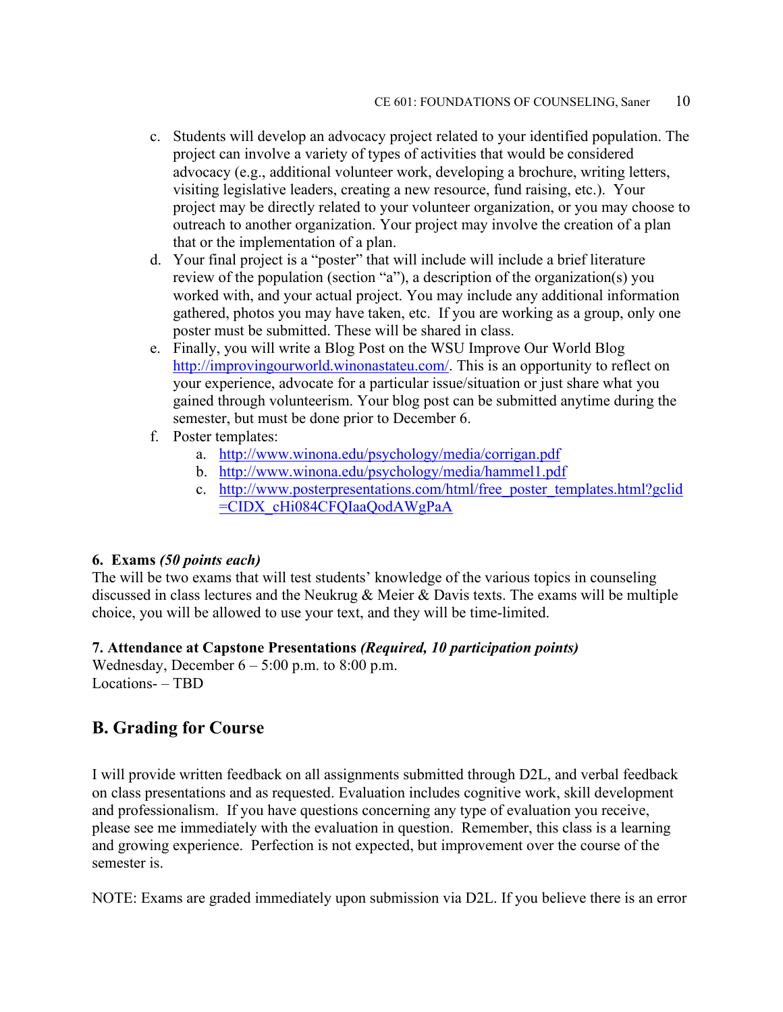- c. Students will develop an advocacy project related to your identified population. The project can involve a variety of types of activities that would be considered advocacy (e.g., additional volunteer work, developing a brochure, writing letters, visiting legislative leaders, creating a new resource, fund raising, etc.). Your project may be directly related to your volunteer organization, or you may choose to outreach to another organization. Your project may involve the creation of a plan that or the implementation of a plan.
- d. Your final project is a "poster" that will include will include a brief literature review of the population (section "a"), a description of the organization(s) you worked with, and your actual project. You may include any additional information gathered, photos you may have taken, etc. If you are working as a group, only one poster must be submitted. These will be shared in class.
- e. Finally, you will write a Blog Post on the WSU Improve Our World Blog [http://improvingourworld.winonastateu.com/.](http://improvingourworld.winonastateu.com/) This is an opportunity to reflect on your experience, advocate for a particular issue/situation or just share what you gained through volunteerism. Your blog post can be submitted anytime during the semester, but must be done prior to December 6.
- f. Poster templates:
	- a. <http://www.winona.edu/psychology/media/corrigan.pdf>
	- b. <http://www.winona.edu/psychology/media/hammel1.pdf>
	- c. [http://www.posterpresentations.com/html/free\\_poster\\_templates.html?gclid](http://www.posterpresentations.com/html/free_poster_templates.html?gclid=CIDX_cHi084CFQIaaQodAWgPaA) [=CIDX\\_cHi084CFQIaaQodAWgPaA](http://www.posterpresentations.com/html/free_poster_templates.html?gclid=CIDX_cHi084CFQIaaQodAWgPaA)

#### **6. Exams** *(50 points each)*

The will be two exams that will test students' knowledge of the various topics in counseling discussed in class lectures and the Neukrug & Meier & Davis texts. The exams will be multiple choice, you will be allowed to use your text, and they will be time-limited.

#### **7. Attendance at Capstone Presentations** *(Required, 10 participation points)*

Wednesday, December  $6 - 5:00$  p.m. to  $8:00$  p.m. Locations- – TBD

### **B. Grading for Course**

I will provide written feedback on all assignments submitted through D2L, and verbal feedback on class presentations and as requested. Evaluation includes cognitive work, skill development and professionalism. If you have questions concerning any type of evaluation you receive, please see me immediately with the evaluation in question. Remember, this class is a learning and growing experience. Perfection is not expected, but improvement over the course of the semester is.

NOTE: Exams are graded immediately upon submission via D2L. If you believe there is an error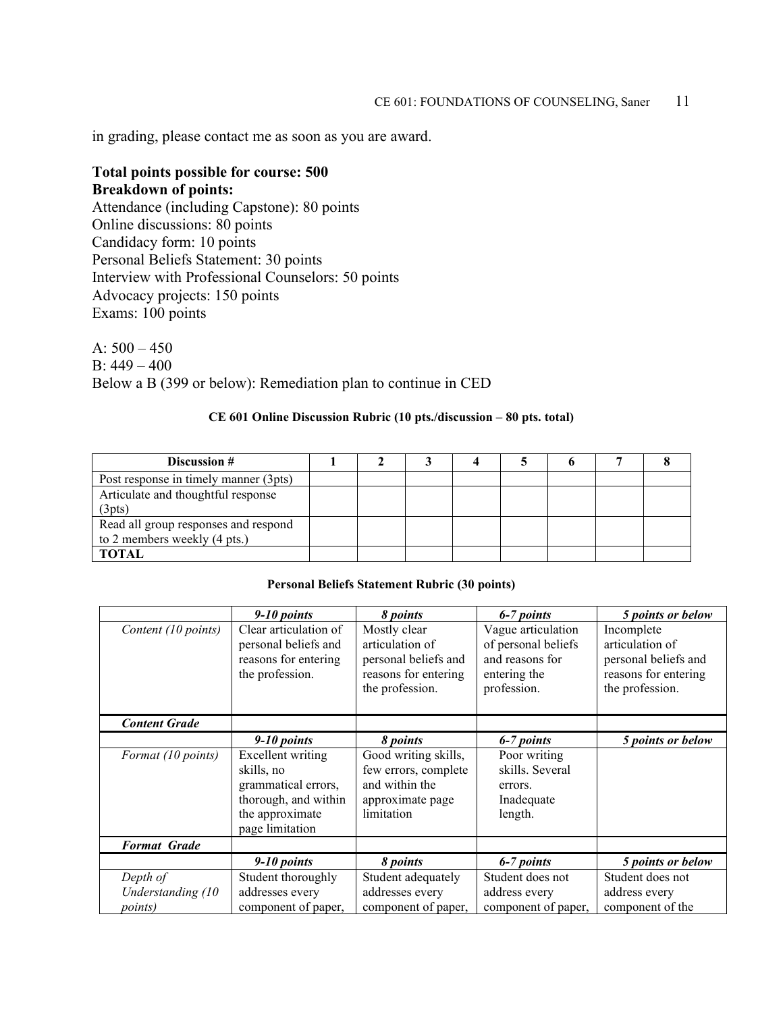in grading, please contact me as soon as you are award.

#### **Total points possible for course: 500 Breakdown of points:**

Attendance (including Capstone): 80 points Online discussions: 80 points Candidacy form: 10 points Personal Beliefs Statement: 30 points Interview with Professional Counselors: 50 points Advocacy projects: 150 points Exams: 100 points

A:  $500 - 450$ B: 449 – 400 Below a B (399 or below): Remediation plan to continue in CED

#### **CE 601 Online Discussion Rubric (10 pts./discussion – 80 pts. total)**

| Discussion #                                                         |  |  |  |  |
|----------------------------------------------------------------------|--|--|--|--|
| Post response in timely manner (3pts)                                |  |  |  |  |
| Articulate and thoughtful response<br>(3pts)                         |  |  |  |  |
| Read all group responses and respond<br>to 2 members weekly (4 pts.) |  |  |  |  |
| <b>TOTAL</b>                                                         |  |  |  |  |

#### **Personal Beliefs Statement Rubric (30 points)**

|                               | $9-10$ points                                                                                                        | 8 points                                                                                           | 6-7 points                                                                                  | 5 points or below                                                                                |
|-------------------------------|----------------------------------------------------------------------------------------------------------------------|----------------------------------------------------------------------------------------------------|---------------------------------------------------------------------------------------------|--------------------------------------------------------------------------------------------------|
| Content (10 points)           | Clear articulation of<br>personal beliefs and<br>reasons for entering<br>the profession.                             | Mostly clear<br>articulation of<br>personal beliefs and<br>reasons for entering<br>the profession. | Vague articulation<br>of personal beliefs<br>and reasons for<br>entering the<br>profession. | Incomplete<br>articulation of<br>personal beliefs and<br>reasons for entering<br>the profession. |
| <b>Content Grade</b>          |                                                                                                                      |                                                                                                    |                                                                                             |                                                                                                  |
|                               | $9-10$ points                                                                                                        | 8 <i>points</i>                                                                                    | 6-7 points                                                                                  | 5 points or below                                                                                |
| Format (10 points)            | Excellent writing<br>skills, no<br>grammatical errors,<br>thorough, and within<br>the approximate<br>page limitation | Good writing skills,<br>few errors, complete<br>and within the<br>approximate page<br>limitation   | Poor writing<br>skills. Several<br>errors.<br>Inadequate<br>length.                         |                                                                                                  |
| <b>Format Grade</b>           |                                                                                                                      |                                                                                                    |                                                                                             |                                                                                                  |
|                               | $9-10$ points                                                                                                        | 8 points                                                                                           | 6-7 points                                                                                  | 5 points or below                                                                                |
| Depth of<br>Understanding (10 | Student thoroughly<br>addresses every                                                                                | Student adequately<br>addresses every                                                              | Student does not<br>address every                                                           | Student does not<br>address every                                                                |
| <i>points</i> )               | component of paper,                                                                                                  | component of paper,                                                                                | component of paper,                                                                         | component of the                                                                                 |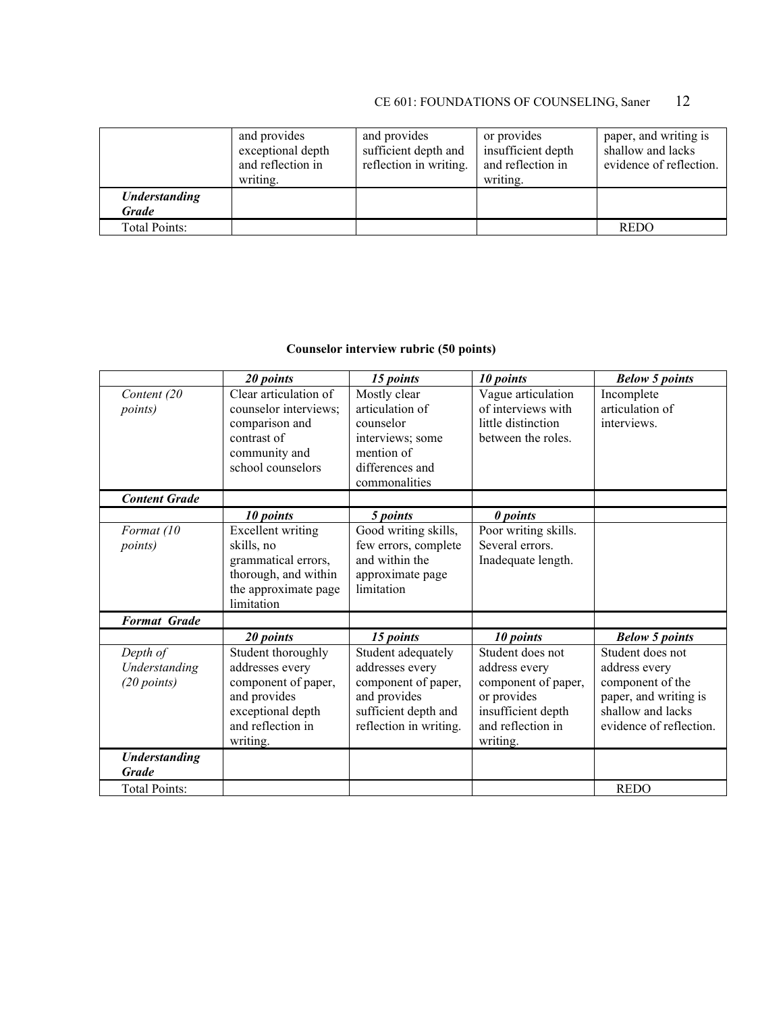|                                      | and provides<br>exceptional depth<br>and reflection in<br>writing. | and provides<br>sufficient depth and<br>reflection in writing. | or provides<br>insufficient depth<br>and reflection in<br>writing. | paper, and writing is<br>shallow and lacks<br>evidence of reflection. |
|--------------------------------------|--------------------------------------------------------------------|----------------------------------------------------------------|--------------------------------------------------------------------|-----------------------------------------------------------------------|
| <b>Understanding</b><br><b>Grade</b> |                                                                    |                                                                |                                                                    |                                                                       |
| Total Points:                        |                                                                    |                                                                |                                                                    | <b>REDO</b>                                                           |

### **Counselor interview rubric (50 points)**

|                                            | 20 points                                                                                                                                       | 15 points                                                                                                                                   | 10 points                                                                                                                                   | <b>Below 5 points</b>                                                                                                                                   |
|--------------------------------------------|-------------------------------------------------------------------------------------------------------------------------------------------------|---------------------------------------------------------------------------------------------------------------------------------------------|---------------------------------------------------------------------------------------------------------------------------------------------|---------------------------------------------------------------------------------------------------------------------------------------------------------|
| Content (20<br><i>points</i> )             | Clear articulation of<br>counselor interviews;<br>comparison and<br>contrast of<br>community and<br>school counselors                           | Mostly clear<br>articulation of<br>counselor<br>interviews; some<br>mention of<br>differences and<br>commonalities                          | Vague articulation<br>of interviews with<br>little distinction<br>between the roles.                                                        | Incomplete<br>articulation of<br>interviews.                                                                                                            |
| <b>Content Grade</b>                       | 10 points                                                                                                                                       |                                                                                                                                             | 0 points                                                                                                                                    |                                                                                                                                                         |
| Format (10<br><i>points</i> )              | Excellent writing<br>skills, no<br>grammatical errors,<br>thorough, and within<br>the approximate page<br>limitation                            | 5 points<br>Good writing skills,<br>few errors, complete<br>and within the<br>approximate page<br>limitation                                | Poor writing skills.<br>Several errors.<br>Inadequate length.                                                                               |                                                                                                                                                         |
| <b>Format Grade</b>                        |                                                                                                                                                 |                                                                                                                                             |                                                                                                                                             |                                                                                                                                                         |
| Depth of<br>Understanding<br>$(20$ points) | 20 points<br>Student thoroughly<br>addresses every<br>component of paper,<br>and provides<br>exceptional depth<br>and reflection in<br>writing. | 15 points<br>Student adequately<br>addresses every<br>component of paper,<br>and provides<br>sufficient depth and<br>reflection in writing. | 10 points<br>Student does not<br>address every<br>component of paper,<br>or provides<br>insufficient depth<br>and reflection in<br>writing. | <b>Below 5 points</b><br>Student does not<br>address every<br>component of the<br>paper, and writing is<br>shallow and lacks<br>evidence of reflection. |
| <b>Understanding</b><br><b>Grade</b>       |                                                                                                                                                 |                                                                                                                                             |                                                                                                                                             |                                                                                                                                                         |
| <b>Total Points:</b>                       |                                                                                                                                                 |                                                                                                                                             |                                                                                                                                             | <b>REDO</b>                                                                                                                                             |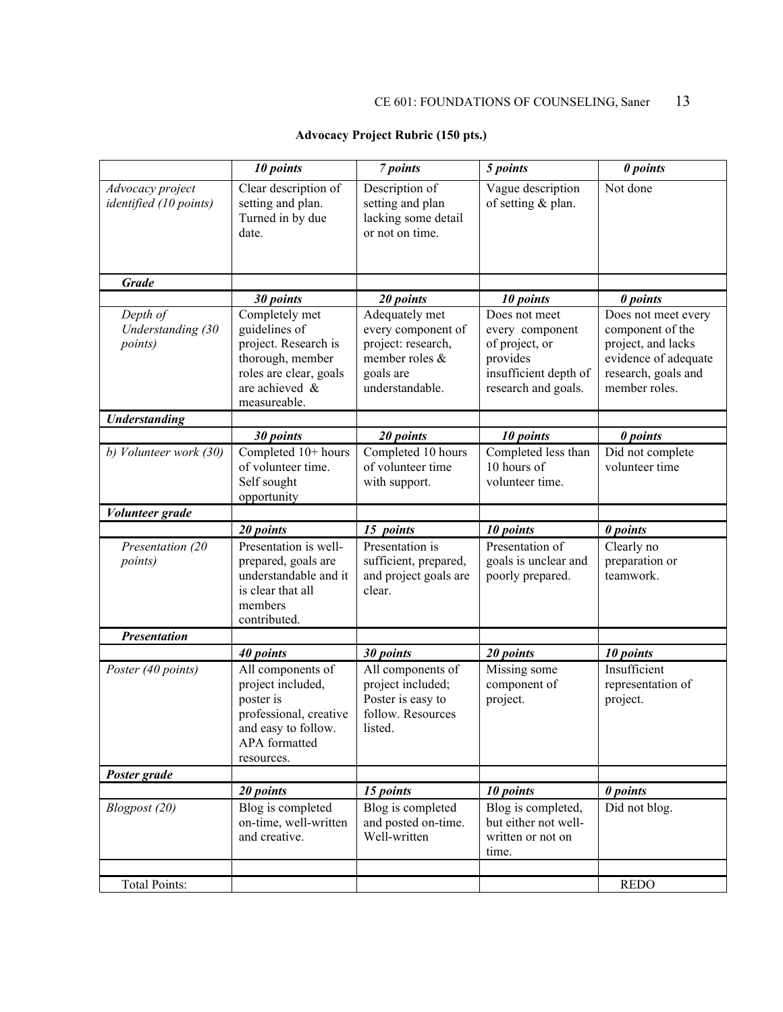#### **Advocacy Project Rubric (150 pts.)**

|                                                  | 10 points                                                                                                                               | 7 points                                                                                                     | 5 points                                                                                                       | 0 points                                                                                                                      |
|--------------------------------------------------|-----------------------------------------------------------------------------------------------------------------------------------------|--------------------------------------------------------------------------------------------------------------|----------------------------------------------------------------------------------------------------------------|-------------------------------------------------------------------------------------------------------------------------------|
| Advocacy project<br>identified (10 points)       | Clear description of<br>setting and plan.<br>Turned in by due<br>date.                                                                  | Description of<br>setting and plan<br>lacking some detail<br>or not on time.                                 | Vague description<br>of setting & plan.                                                                        | Not done                                                                                                                      |
| <b>Grade</b>                                     |                                                                                                                                         |                                                                                                              |                                                                                                                |                                                                                                                               |
|                                                  | 30 points                                                                                                                               | 20 points                                                                                                    | 10 points                                                                                                      | 0 points                                                                                                                      |
| Depth of<br>Understanding (30<br><i>points</i> ) | Completely met<br>guidelines of<br>project. Research is<br>thorough, member<br>roles are clear, goals<br>are achieved &<br>measureable. | Adequately met<br>every component of<br>project: research,<br>member roles &<br>goals are<br>understandable. | Does not meet<br>every component<br>of project, or<br>provides<br>insufficient depth of<br>research and goals. | Does not meet every<br>component of the<br>project, and lacks<br>evidence of adequate<br>research, goals and<br>member roles. |
| <b>Understanding</b>                             |                                                                                                                                         |                                                                                                              |                                                                                                                |                                                                                                                               |
|                                                  | 30 points                                                                                                                               | 20 points                                                                                                    | 10 points                                                                                                      | 0 points                                                                                                                      |
| b) Volunteer work (30)                           | Completed 10+ hours<br>of volunteer time.<br>Self sought<br>opportunity                                                                 | Completed 10 hours<br>of volunteer time<br>with support.                                                     | Completed less than<br>10 hours of<br>volunteer time.                                                          | Did not complete<br>volunteer time                                                                                            |
| Volunteer grade                                  |                                                                                                                                         |                                                                                                              |                                                                                                                |                                                                                                                               |
|                                                  | 20 points                                                                                                                               | 15 points                                                                                                    | 10 points                                                                                                      | 0 points                                                                                                                      |
| Presentation (20<br><i>points</i> )              | Presentation is well-<br>prepared, goals are<br>understandable and it<br>is clear that all<br>members<br>contributed.                   | Presentation is<br>sufficient, prepared,<br>and project goals are<br>clear.                                  | Presentation of<br>goals is unclear and<br>poorly prepared.                                                    | Clearly no<br>preparation or<br>teamwork.                                                                                     |
| <b>Presentation</b>                              |                                                                                                                                         |                                                                                                              |                                                                                                                |                                                                                                                               |
|                                                  | 40 points                                                                                                                               | 30 points                                                                                                    | 20 points                                                                                                      | 10 points                                                                                                                     |
| Poster (40 points)                               | All components of<br>project included,<br>poster is<br>professional, creative<br>and easy to follow.<br>APA formatted<br>resources.     | All components of<br>project included;<br>Poster is easy to<br>follow. Resources<br>listed.                  | Missing some<br>component of<br>project.                                                                       | Insufficient<br>representation of<br>project.                                                                                 |
| Poster grade                                     |                                                                                                                                         |                                                                                                              |                                                                                                                |                                                                                                                               |
|                                                  | 20 points                                                                                                                               | 15 points                                                                                                    | 10 points                                                                                                      | 0 points                                                                                                                      |
| Blogpost (20)                                    | Blog is completed<br>on-time, well-written<br>and creative.                                                                             | Blog is completed<br>and posted on-time.<br>Well-written                                                     | Blog is completed,<br>but either not well-<br>written or not on<br>time.                                       | Did not blog.                                                                                                                 |
|                                                  |                                                                                                                                         |                                                                                                              |                                                                                                                |                                                                                                                               |
| <b>Total Points:</b>                             |                                                                                                                                         |                                                                                                              |                                                                                                                | <b>REDO</b>                                                                                                                   |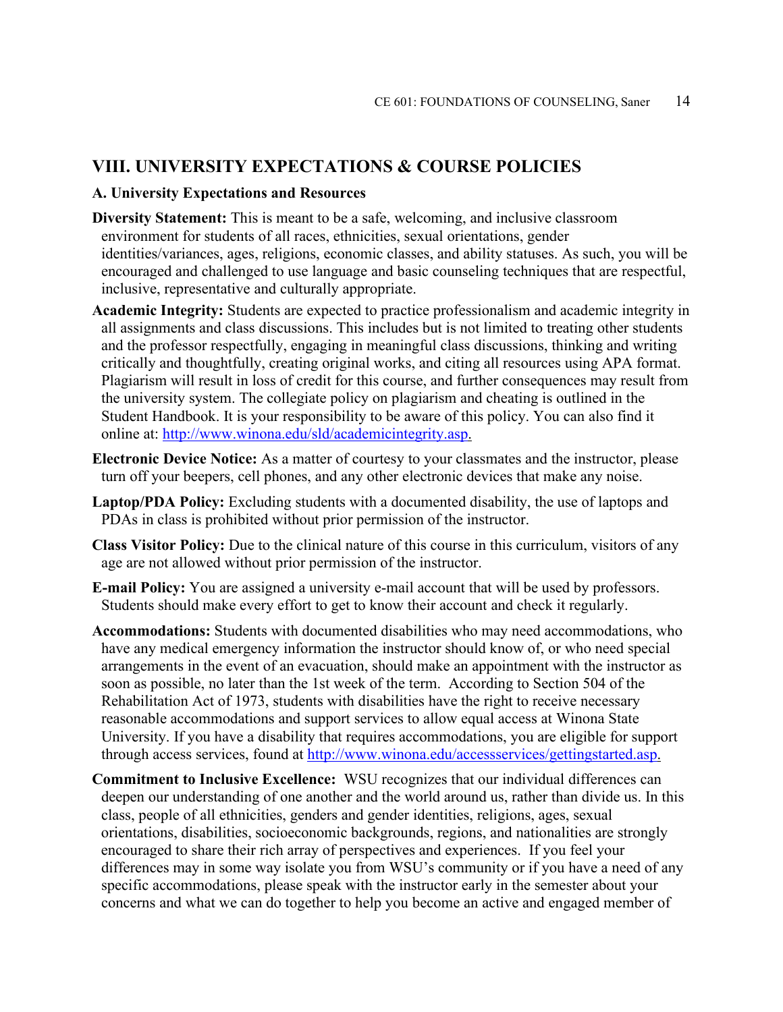### **VIII. UNIVERSITY EXPECTATIONS & COURSE POLICIES**

#### **A. University Expectations and Resources**

- **Diversity Statement:** This is meant to be a safe, welcoming, and inclusive classroom environment for students of all races, ethnicities, sexual orientations, gender identities/variances, ages, religions, economic classes, and ability statuses. As such, you will be encouraged and challenged to use language and basic counseling techniques that are respectful, inclusive, representative and culturally appropriate.
- **Academic Integrity:** Students are expected to practice professionalism and academic integrity in all assignments and class discussions. This includes but is not limited to treating other students and the professor respectfully, engaging in meaningful class discussions, thinking and writing critically and thoughtfully, creating original works, and citing all resources using APA format. Plagiarism will result in loss of credit for this course, and further consequences may result from the university system. The collegiate policy on plagiarism and cheating is outlined in the Student Handbook. It is your responsibility to be aware of this policy. You can also find it online at: [http://www.winona.edu/sld/academicintegrity.asp.](http://www.winona.edu/sld/academicintegrity.asp)
- **Electronic Device Notice:** As a matter of courtesy to your classmates and the instructor, please turn off your beepers, cell phones, and any other electronic devices that make any noise.
- **Laptop/PDA Policy:** Excluding students with a documented disability, the use of laptops and PDAs in class is prohibited without prior permission of the instructor.
- **Class Visitor Policy:** Due to the clinical nature of this course in this curriculum, visitors of any age are not allowed without prior permission of the instructor.
- **E-mail Policy:** You are assigned a university e-mail account that will be used by professors. Students should make every effort to get to know their account and check it regularly.
- **Accommodations:** Students with documented disabilities who may need accommodations, who have any medical emergency information the instructor should know of, or who need special arrangements in the event of an evacuation, should make an appointment with the instructor as soon as possible, no later than the 1st week of the term. According to Section 504 of the Rehabilitation Act of 1973, students with disabilities have the right to receive necessary reasonable accommodations and support services to allow equal access at Winona State University. If you have a disability that requires accommodations, you are eligible for support through access services, found at [http://www.winona.edu/accessservices/gettingstarted.asp.](http://www.winona.edu/accessservices/gettingstarted.asp)
- **Commitment to Inclusive Excellence:** WSU recognizes that our individual differences can deepen our understanding of one another and the world around us, rather than divide us. In this class, people of all ethnicities, genders and gender identities, religions, ages, sexual orientations, disabilities, socioeconomic backgrounds, regions, and nationalities are strongly encouraged to share their rich array of perspectives and experiences. If you feel your differences may in some way isolate you from WSU's community or if you have a need of any specific accommodations, please speak with the instructor early in the semester about your concerns and what we can do together to help you become an active and engaged member of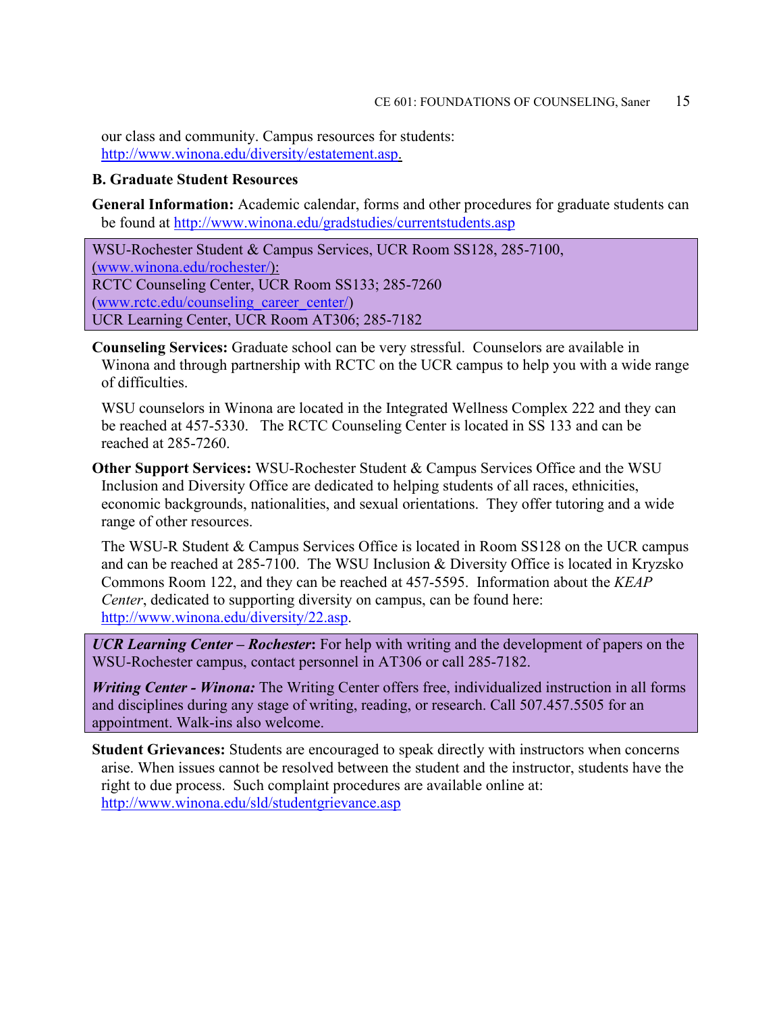our class and community. Campus resources for students: [http://www.winona.edu/diversity/estatement.asp.](http://www.winona.edu/diversity/estatement.asp)

#### **B. Graduate Student Resources**

**General Information:** Academic calendar, forms and other procedures for graduate students can be found at<http://www.winona.edu/gradstudies/currentstudents.asp>

WSU-Rochester Student & Campus Services, UCR Room SS128, 285-7100, [\(www.winona.edu/rochester/\)](http://www.winona.edu/rochester/): RCTC Counseling Center, UCR Room SS133; 285-7260 [\(www.rctc.edu/counseling\\_career\\_center/\)](http://www.rctc.edu/counseling_career_center/) UCR Learning Center, UCR Room AT306; 285-7182

**Counseling Services:** Graduate school can be very stressful. Counselors are available in Winona and through partnership with RCTC on the UCR campus to help you with a wide range of difficulties.

WSU counselors in Winona are located in the Integrated Wellness Complex 222 and they can be reached at 457-5330. The RCTC Counseling Center is located in SS 133 and can be reached at 285-7260.

**Other Support Services:** WSU-Rochester Student & Campus Services Office and the WSU Inclusion and Diversity Office are dedicated to helping students of all races, ethnicities, economic backgrounds, nationalities, and sexual orientations. They offer tutoring and a wide range of other resources.

The WSU-R Student & Campus Services Office is located in Room SS128 on the UCR campus and can be reached at 285-7100. The WSU Inclusion & Diversity Office is located in Kryzsko Commons Room 122, and they can be reached at 457-5595. Information about the *KEAP Center*, dedicated to supporting diversity on campus, can be found here: [http://www.winona.edu/diversity/22.asp.](http://www.winona.edu/diversity/22.asp)

*UCR Learning Center – Rochester***:** For help with writing and the development of papers on the WSU-Rochester campus, contact personnel in AT306 or call 285-7182.

*Writing Center - Winona:* The Writing Center offers free, individualized instruction in all forms and disciplines during any stage of writing, reading, or research. Call 507.457.5505 for an appointment. Walk-ins also welcome.

**Student Grievances:** Students are encouraged to speak directly with instructors when concerns arise. When issues cannot be resolved between the student and the instructor, students have the right to due process. Such complaint procedures are available online at: <http://www.winona.edu/sld/studentgrievance.asp>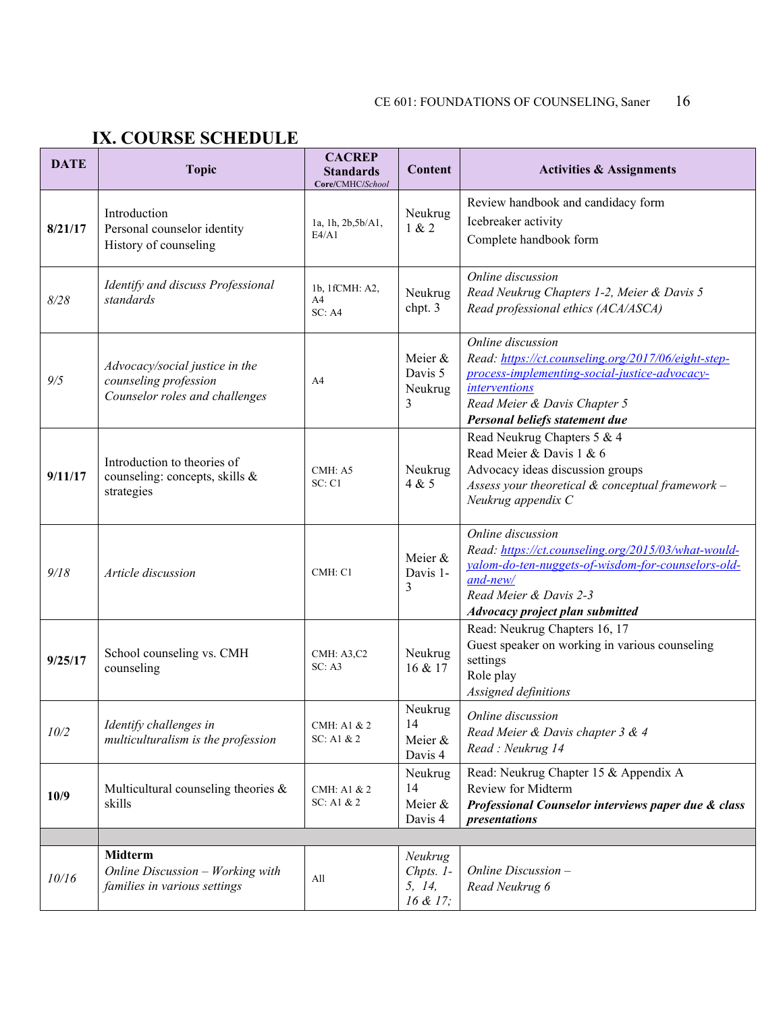# **IX. COURSE SCHEDULE**

| <b>DATE</b> | <b>Topic</b>                                                                              | <b>CACREP</b><br><b>Standards</b><br>Core/CMHC/School | <b>Content</b>                               | <b>Activities &amp; Assignments</b>                                                                                                                                                                                 |
|-------------|-------------------------------------------------------------------------------------------|-------------------------------------------------------|----------------------------------------------|---------------------------------------------------------------------------------------------------------------------------------------------------------------------------------------------------------------------|
| 8/21/17     | Introduction<br>Personal counselor identity<br>History of counseling                      | 1a, 1h, 2b, 5b/A1,<br>E4/A1                           | Neukrug<br>1 & 2                             | Review handbook and candidacy form<br>Icebreaker activity<br>Complete handbook form                                                                                                                                 |
| 8/28        | Identify and discuss Professional<br>standards                                            | 1b, 1fCMH: A2,<br>A4<br>SC: A4                        | Neukrug<br>chpt. 3                           | Online discussion<br>Read Neukrug Chapters 1-2, Meier & Davis 5<br>Read professional ethics (ACA/ASCA)                                                                                                              |
| 9/5         | Advocacy/social justice in the<br>counseling profession<br>Counselor roles and challenges | A4                                                    | Meier &<br>Davis 5<br>Neukrug<br>3           | Online discussion<br>Read: https://ct.counseling.org/2017/06/eight-step-<br>process-implementing-social-justice-advocacy-<br><i>interventions</i><br>Read Meier & Davis Chapter 5<br>Personal beliefs statement due |
| 9/11/17     | Introduction to theories of<br>counseling: concepts, skills &<br>strategies               | CMH: A5<br>SC:Cl                                      | Neukrug<br>4 & 5                             | Read Neukrug Chapters 5 & 4<br>Read Meier & Davis 1 & 6<br>Advocacy ideas discussion groups<br>Assess your theoretical $\&$ conceptual framework –<br>Neukrug appendix C                                            |
| 9/18        | Article discussion                                                                        | CMH: C1                                               | Meier &<br>Davis 1-<br>3                     | Online discussion<br>Read: https://ct.counseling.org/2015/03/what-would-<br>yalom-do-ten-nuggets-of-wisdom-for-counselors-old-<br>$and$ -new/<br>Read Meier & Davis 2-3<br><b>Advocacy project plan submitted</b>   |
| 9/25/17     | School counseling vs. CMH<br>counseling                                                   | CMH: A3,C2<br>SC: A3                                  | Neukrug<br>16 & 17                           | Read: Neukrug Chapters 16, 17<br>Guest speaker on working in various counseling<br>settings<br>Role play<br>Assigned definitions                                                                                    |
| $10/2$      | Identify challenges in<br>multiculturalism is the profession                              | CMH: A1 & 2<br>$SC:$ A1 & 2                           | Neukrug<br>14<br>Meier &<br>Davis 4          | Online discussion<br>Read Meier & Davis chapter 3 & 4<br>Read: Neukrug 14                                                                                                                                           |
| 10/9        | Multicultural counseling theories $\&$<br>skills                                          | CMH: A1 & 2<br>$SC:$ A1 & 2                           | Neukrug<br>14<br>Meier &<br>Davis 4          | Read: Neukrug Chapter 15 & Appendix A<br>Review for Midterm<br>Professional Counselor interviews paper due & class<br>presentations                                                                                 |
|             |                                                                                           |                                                       |                                              |                                                                                                                                                                                                                     |
| 10/16       | Midterm<br>Online Discussion - Working with<br>families in various settings               | All                                                   | Neukrug<br>$Chpts. 1-$<br>5, 14,<br>16 & 17; | Online Discussion $-$<br>Read Neukrug 6                                                                                                                                                                             |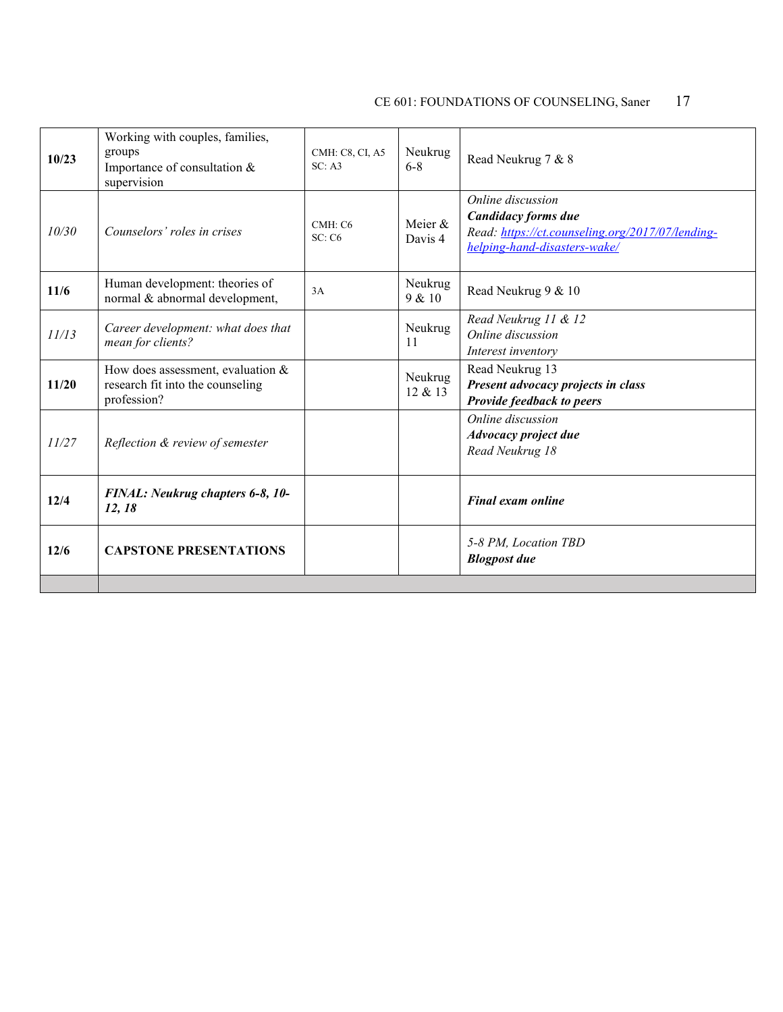| 10/23 | Working with couples, families,<br>groups<br>Importance of consultation &<br>supervision | CMH: C8, CI, A5<br>SC: A3 | Neukrug<br>$6 - 8$ | Read Neukrug 7 & 8                                                                                                           |
|-------|------------------------------------------------------------------------------------------|---------------------------|--------------------|------------------------------------------------------------------------------------------------------------------------------|
| 10/30 | Counselors' roles in crises                                                              | CMH: C6<br>SC: C6         | Meier &<br>Davis 4 | Online discussion<br>Candidacy forms due<br>Read: https://ct.counseling.org/2017/07/lending-<br>helping-hand-disasters-wake/ |
| 11/6  | Human development: theories of<br>normal & abnormal development,                         | 3A                        | Neukrug<br>9 & 10  | Read Neukrug 9 & 10                                                                                                          |
| 11/13 | Career development: what does that<br>mean for clients?                                  |                           | Neukrug<br>11      | Read Neukrug 11 & 12<br>Online discussion<br>Interest inventory                                                              |
| 11/20 | How does assessment, evaluation $&$<br>research fit into the counseling<br>profession?   |                           | Neukrug<br>12 & 13 | Read Neukrug 13<br>Present advocacy projects in class<br>Provide feedback to peers                                           |
| 11/27 | Reflection & review of semester                                                          |                           |                    | Online discussion<br>Advocacy project due<br>Read Neukrug 18                                                                 |
| 12/4  | FINAL: Neukrug chapters 6-8, 10-<br>12, 18                                               |                           |                    | <b>Final exam online</b>                                                                                                     |
| 12/6  | <b>CAPSTONE PRESENTATIONS</b>                                                            |                           |                    | 5-8 PM, Location TBD<br><b>Blogpost</b> due                                                                                  |
|       |                                                                                          |                           |                    |                                                                                                                              |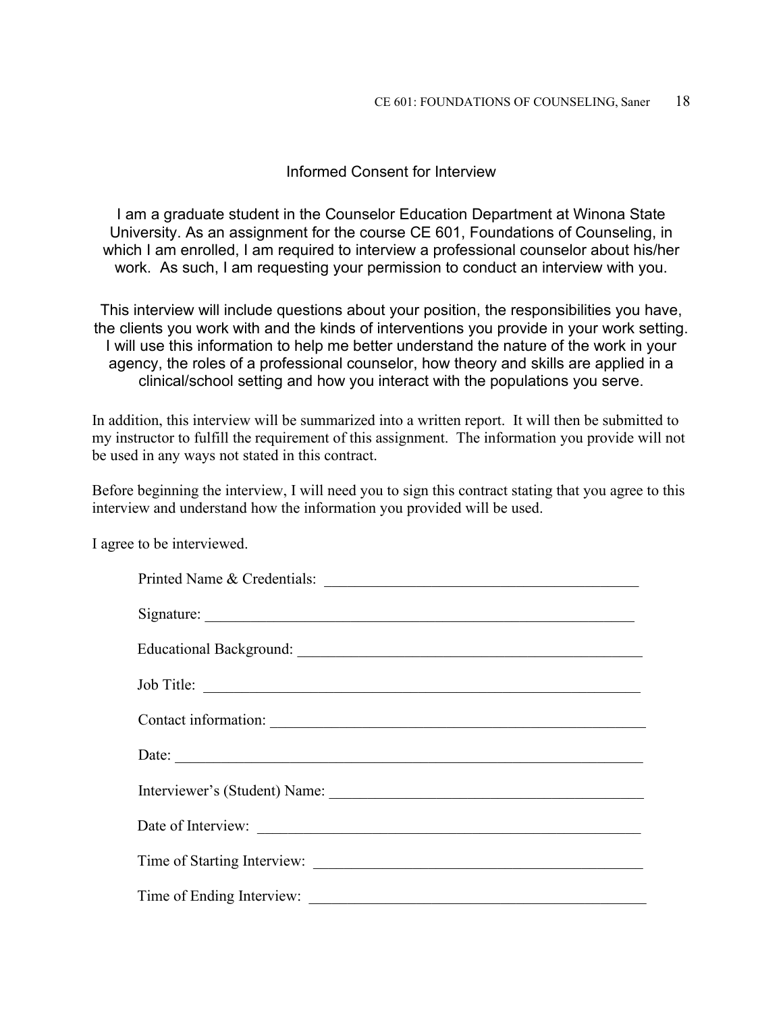#### Informed Consent for Interview

I am a graduate student in the Counselor Education Department at Winona State University. As an assignment for the course CE 601, Foundations of Counseling, in which I am enrolled, I am required to interview a professional counselor about his/her work. As such, I am requesting your permission to conduct an interview with you.

This interview will include questions about your position, the responsibilities you have, the clients you work with and the kinds of interventions you provide in your work setting. I will use this information to help me better understand the nature of the work in your agency, the roles of a professional counselor, how theory and skills are applied in a clinical/school setting and how you interact with the populations you serve.

In addition, this interview will be summarized into a written report. It will then be submitted to my instructor to fulfill the requirement of this assignment. The information you provide will not be used in any ways not stated in this contract.

Before beginning the interview, I will need you to sign this contract stating that you agree to this interview and understand how the information you provided will be used.

I agree to be interviewed.

| Printed Name & Credentials: |  |  |  |
|-----------------------------|--|--|--|
|                             |  |  |  |
|                             |  |  |  |
| Job Title:                  |  |  |  |
| Contact information:        |  |  |  |
|                             |  |  |  |
|                             |  |  |  |
| Date of Interview:          |  |  |  |
|                             |  |  |  |
|                             |  |  |  |